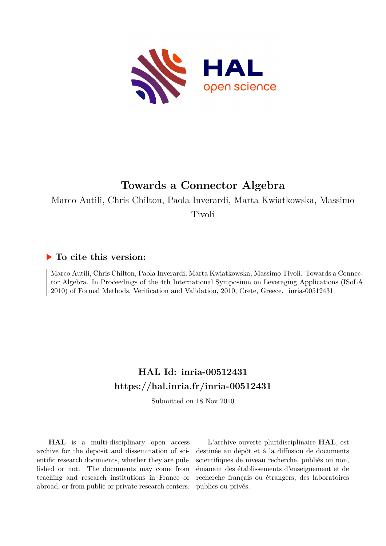

# **Towards a Connector Algebra**

Marco Autili, Chris Chilton, Paola Inverardi, Marta Kwiatkowska, Massimo

Tivoli

## **To cite this version:**

Marco Autili, Chris Chilton, Paola Inverardi, Marta Kwiatkowska, Massimo Tivoli. Towards a Connector Algebra. In Proceedings of the 4th International Symposium on Leveraging Applications (ISoLA 2010) of Formal Methods, Verification and Validation, 2010, Crete, Greece. inria-00512431

## **HAL Id: inria-00512431 <https://hal.inria.fr/inria-00512431>**

Submitted on 18 Nov 2010

**HAL** is a multi-disciplinary open access archive for the deposit and dissemination of scientific research documents, whether they are published or not. The documents may come from teaching and research institutions in France or abroad, or from public or private research centers.

L'archive ouverte pluridisciplinaire **HAL**, est destinée au dépôt et à la diffusion de documents scientifiques de niveau recherche, publiés ou non, émanant des établissements d'enseignement et de recherche français ou étrangers, des laboratoires publics ou privés.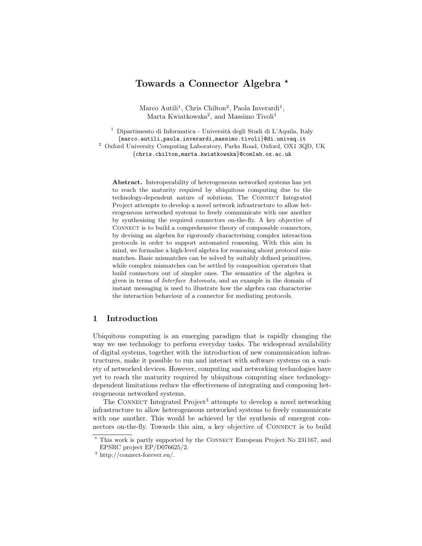## Towards a Connector Algebra  $*$

Marco Autili<sup>1</sup>, Chris Chilton<sup>2</sup>, Paola Inverardi<sup>1</sup>, Marta Kwiatkowska<sup>2</sup>, and Massimo Tivoli<sup>1</sup>

<sup>1</sup> Dipartimento di Informatica - Università degli Studi di L'Aquila, Italy {marco.autili,paola.inverardi,massimo.tivoli}@di.univaq.it <sup>2</sup> Oxford University Computing Laboratory, Parks Road, Oxford, OX1 3QD, UK {chris.chilton,marta.kwiatkowska}@comlab.ox.ac.uk

Abstract. Interoperability of heterogeneous networked systems has yet to reach the maturity required by ubiquitous computing due to the technology-dependent nature of solutions. The CONNECT Integrated Project attempts to develop a novel network infrastructure to allow heterogeneous networked systems to freely communicate with one another by synthesising the required connectors on-the-fly. A key objective of Connect is to build a comprehensive theory of composable connectors, by devising an algebra for rigorously characterising complex interaction protocols in order to support automated reasoning. With this aim in mind, we formalise a high-level algebra for reasoning about protocol mismatches. Basic mismatches can be solved by suitably defined primitives, while complex mismatches can be settled by composition operators that build connectors out of simpler ones. The semantics of the algebra is given in terms of Interface Automata, and an example in the domain of instant messaging is used to illustrate how the algebra can characterise the interaction behaviour of a connector for mediating protocols.

## 1 Introduction

Ubiquitous computing is an emerging paradigm that is rapidly changing the way we use technology to perform everyday tasks. The widespread availability of digital systems, together with the introduction of new communication infrastructures, make it possible to run and interact with software systems on a variety of networked devices. However, computing and networking technologies have yet to reach the maturity required by ubiquitous computing since technologydependent limitations reduce the effectiveness of integrating and composing heterogeneous networked systems.

The CONNECT Integrated Project<sup>3</sup> attempts to develop a novel networking infrastructure to allow heterogeneous networked systems to freely communicate with one another. This would be achieved by the synthesis of emergent connectors on-the-fly. Towards this aim, a key objective of CONNECT is to build

<sup>\*</sup> This work is partly supported by the CONNECT European Project No 231167, and EPSRC project EP/D076625/2.

<sup>3</sup> http://connect-forever.eu/.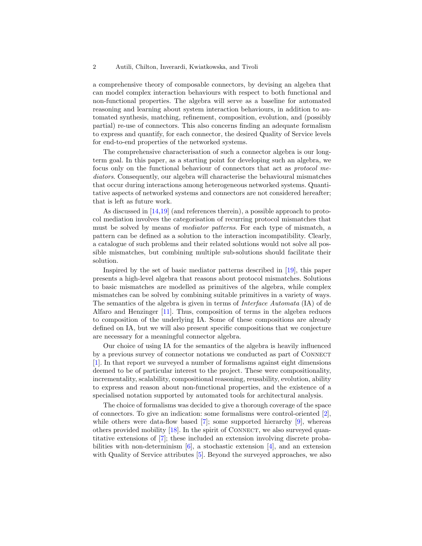a comprehensive theory of composable connectors, by devising an algebra that can model complex interaction behaviours with respect to both functional and non-functional properties. The algebra will serve as a baseline for automated reasoning and learning about system interaction behaviours, in addition to automated synthesis, matching, refinement, composition, evolution, and (possibly partial) re-use of connectors. This also concerns finding an adequate formalism to express and quantify, for each connector, the desired Quality of Service levels for end-to-end properties of the networked systems.

The comprehensive characterisation of such a connector algebra is our longterm goal. In this paper, as a starting point for developing such an algebra, we focus only on the functional behaviour of connectors that act as protocol mediators. Consequently, our algebra will characterise the behavioural mismatches that occur during interactions among heterogeneous networked systems. Quantitative aspects of networked systems and connectors are not considered hereafter; that is left as future work.

As discussed in [14,19] (and references therein), a possible approach to protocol mediation involves the categorisation of recurring protocol mismatches that must be solved by means of mediator patterns. For each type of mismatch, a pattern can be defined as a solution to the interaction incompatibility. Clearly, a catalogue of such problems and their related solutions would not solve all possible mismatches, but combining multiple sub-solutions should facilitate their solution.

Inspired by the set of basic mediator patterns described in [19], this paper presents a high-level algebra that reasons about protocol mismatches. Solutions to basic mismatches are modelled as primitives of the algebra, while complex mismatches can be solved by combining suitable primitives in a variety of ways. The semantics of the algebra is given in terms of Interface Automata (IA) of de Alfaro and Henzinger [11]. Thus, composition of terms in the algebra reduces to composition of the underlying IA. Some of these compositions are already defined on IA, but we will also present specific compositions that we conjecture are necessary for a meaningful connector algebra.

Our choice of using IA for the semantics of the algebra is heavily influenced by a previous survey of connector notations we conducted as part of CONNECT [1]. In that report we surveyed a number of formalisms against eight dimensions deemed to be of particular interest to the project. These were compositionality, incrementality, scalability, compositional reasoning, reusability, evolution, ability to express and reason about non-functional properties, and the existence of a specialised notation supported by automated tools for architectural analysis.

The choice of formalisms was decided to give a thorough coverage of the space of connectors. To give an indication: some formalisms were control-oriented [2], while others were data-flow based  $[7]$ ; some supported hierarchy  $[9]$ , whereas others provided mobility  $[18]$ . In the spirit of CONNECT, we also surveyed quantitative extensions of [7]; these included an extension involving discrete probabilities with non-determinism [6], a stochastic extension [4], and an extension with Quality of Service attributes [5]. Beyond the surveyed approaches, we also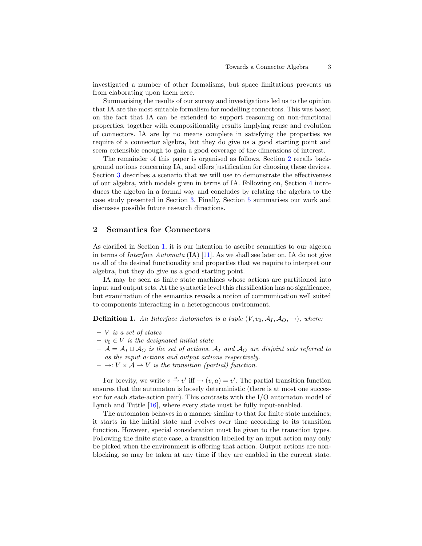investigated a number of other formalisms, but space limitations prevents us from elaborating upon them here.

Summarising the results of our survey and investigations led us to the opinion that IA are the most suitable formalism for modelling connectors. This was based on the fact that IA can be extended to support reasoning on non-functional properties, together with compositionality results implying reuse and evolution of connectors. IA are by no means complete in satisfying the properties we require of a connector algebra, but they do give us a good starting point and seem extensible enough to gain a good coverage of the dimensions of interest.

The remainder of this paper is organised as follows. Section 2 recalls background notions concerning IA, and offers justification for choosing these devices. Section 3 describes a scenario that we will use to demonstrate the effectiveness of our algebra, with models given in terms of IA. Following on, Section 4 introduces the algebra in a formal way and concludes by relating the algebra to the case study presented in Section 3. Finally, Section 5 summarises our work and discusses possible future research directions.

#### 2 Semantics for Connectors

As clarified in Section 1, it is our intention to ascribe semantics to our algebra in terms of *Interface Automata* (IA) [11]. As we shall see later on, IA do not give us all of the desired functionality and properties that we require to interpret our algebra, but they do give us a good starting point.

IA may be seen as finite state machines whose actions are partitioned into input and output sets. At the syntactic level this classification has no significance, but examination of the semantics reveals a notion of communication well suited to components interacting in a heterogeneous environment.

**Definition 1.** An Interface Automaton is a tuple  $(V, v_0, A_I, A_O, \rightarrow)$ , where:

- $-$  V is a set of states
- $v_0 \in V$  is the designated initial state
- $A = A_I \cup A_O$  is the set of actions.  $A_I$  and  $A_O$  are disjoint sets referred to as the input actions and output actions respectively.
- $\rightarrow: V \times A \rightarrow V$  is the transition (partial) function.

For brevity, we write  $v \stackrel{a}{\rightarrow} v'$  iff  $\rightarrow (v, a) = v'$ . The partial transition function ensures that the automaton is loosely deterministic (there is at most one successor for each state-action pair). This contrasts with the I/O automaton model of Lynch and Tuttle [16], where every state must be fully input-enabled.

The automaton behaves in a manner similar to that for finite state machines; it starts in the initial state and evolves over time according to its transition function. However, special consideration must be given to the transition types. Following the finite state case, a transition labelled by an input action may only be picked when the environment is offering that action. Output actions are nonblocking, so may be taken at any time if they are enabled in the current state.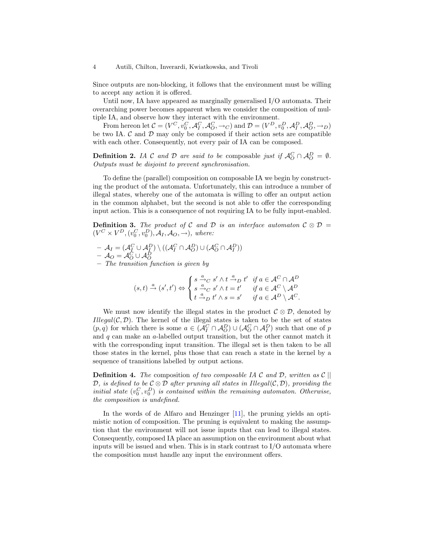Since outputs are non-blocking, it follows that the environment must be willing to accept any action it is offered.

Until now, IA have appeared as marginally generalised I/O automata. Their overarching power becomes apparent when we consider the composition of multiple IA, and observe how they interact with the environment.

From hereon let  $C = (V^C, v_0^C, A_I^C, A_O^C, \rightarrow_C)$  and  $\mathcal{D} = (V^D, v_0^D, A_I^D, A_O^D, \rightarrow_D)$ be two IA.  $\mathcal C$  and  $\mathcal D$  may only be composed if their action sets are compatible with each other. Consequently, not every pair of IA can be composed.

**Definition 2.** IA C and D are said to be composable just if  $\mathcal{A}_{O}^{C} \cap \mathcal{A}_{O}^{D} = \emptyset$ . Outputs must be disjoint to prevent synchronisation.

To define the (parallel) composition on composable IA we begin by constructing the product of the automata. Unfortunately, this can introduce a number of illegal states, whereby one of the automata is willing to offer an output action in the common alphabet, but the second is not able to offer the corresponding input action. This is a consequence of not requiring IA to be fully input-enabled.

**Definition 3.** The product of C and D is an interface automaton  $C \otimes D =$  $(V^C \times V^D, (v_0^C, v_0^D), \mathcal{A}_I, \mathcal{A}_O, \rightarrow)$ , where:

$$
- A_I = (A_I^C \cup A_I^D) \setminus ((A_I^C \cap A_O^D) \cup (A_O^C \cap A_I^D))
$$
  

$$
- A_O = A_O^C \cup A_O^D
$$

– The transition function is given by

$$
(s,t)\xrightarrow{a}(s',t')\Leftrightarrow \begin{cases} s\xrightarrow{a}_{C} s'\wedge t\xrightarrow{a}_{D} t' & \text{if } a\in\mathcal{A}^{C}\cap\mathcal{A}^{D} \\ s\xrightarrow{a}_{C} s'\wedge t = t' & \text{if } a\in\mathcal{A}^{C}\setminus\mathcal{A}^{D} \\ t\xrightarrow{a}_{D} t'\wedge s = s' & \text{if } a\in\mathcal{A}^{D}\setminus\mathcal{A}^{C}. \end{cases}
$$

We must now identify the illegal states in the product  $\mathcal{C} \otimes \mathcal{D}$ , denoted by  $I llegal(\mathcal{C}, \mathcal{D})$ . The kernel of the illegal states is taken to be the set of states  $(p, q)$  for which there is some  $a \in (\mathcal{A}_I^C \cap \mathcal{A}_O^D) \cup (\mathcal{A}_O^C \cap \mathcal{A}_I^D)$  such that one of p and  $q$  can make an  $q$ -labelled output transition, but the other cannot match it with the corresponding input transition. The illegal set is then taken to be all those states in the kernel, plus those that can reach a state in the kernel by a sequence of transitions labelled by output actions.

**Definition 4.** The composition of two composable IA C and D, written as  $C \parallel$ D, is defined to be  $\mathcal{C} \otimes \mathcal{D}$  after pruning all states in Illegal $(\mathcal{C}, \mathcal{D})$ , providing the initial state  $(v_0^C, v_0^D)$  is contained within the remaining automaton. Otherwise, the composition is undefined.

In the words of de Alfaro and Henzinger [11], the pruning yields an optimistic notion of composition. The pruning is equivalent to making the assumption that the environment will not issue inputs that can lead to illegal states. Consequently, composed IA place an assumption on the environment about what inputs will be issued and when. This is in stark contrast to I/O automata where the composition must handle any input the environment offers.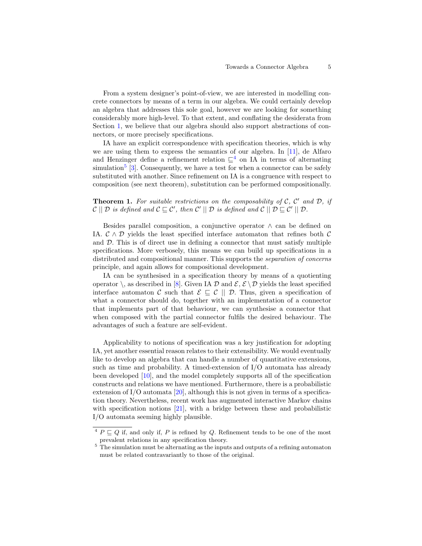From a system designer's point-of-view, we are interested in modelling concrete connectors by means of a term in our algebra. We could certainly develop an algebra that addresses this sole goal, however we are looking for something considerably more high-level. To that extent, and conflating the desiderata from Section 1, we believe that our algebra should also support abstractions of connectors, or more precisely specifications.

IA have an explicit correspondence with specification theories, which is why we are using them to express the semantics of our algebra. In [11], de Alfaro and Henzinger define a refinement relation  $\mathbb{E}^4$  on IA in terms of alternating simulation<sup>5</sup> [3]. Consequently, we have a test for when a connector can be safely substituted with another. Since refinement on IA is a congruence with respect to composition (see next theorem), substitution can be performed compositionally.

**Theorem 1.** For suitable restrictions on the composability of  $C$ ,  $C'$  and  $D$ , if  $\mathcal{C} \parallel \mathcal{D}$  is defined and  $\mathcal{C} \sqsubseteq \mathcal{C}'$ , then  $\mathcal{C}' \parallel \mathcal{D}$  is defined and  $\mathcal{C} \parallel \mathcal{D} \sqsubseteq \mathcal{C}' \parallel \mathcal{D}$ .

Besides parallel composition, a conjunctive operator  $\wedge$  can be defined on IA.  $\mathcal{C} \wedge \mathcal{D}$  yields the least specified interface automaton that refines both  $\mathcal{C}$ and  $D$ . This is of direct use in defining a connector that must satisfy multiple specifications. More verbosely, this means we can build up specifications in a distributed and compositional manner. This supports the separation of concerns principle, and again allows for compositional development.

IA can be synthesised in a specification theory by means of a quotienting operator  $\setminus$ , as described in [8]. Given IA D and  $\mathcal{E}, \mathcal{E} \setminus \mathcal{D}$  yields the least specified interface automaton C such that  $\mathcal{E} \subseteq \mathcal{C} \parallel \mathcal{D}$ . Thus, given a specification of what a connector should do, together with an implementation of a connector that implements part of that behaviour, we can synthesise a connector that when composed with the partial connector fulfils the desired behaviour. The advantages of such a feature are self-evident.

Applicability to notions of specification was a key justification for adopting IA, yet another essential reason relates to their extensibility. We would eventually like to develop an algebra that can handle a number of quantitative extensions, such as time and probability. A timed-extension of I/O automata has already been developed [10], and the model completely supports all of the specification constructs and relations we have mentioned. Furthermore, there is a probabilistic extension of  $I/O$  automata [20], although this is not given in terms of a specification theory. Nevertheless, recent work has augmented interactive Markov chains with specification notions [21], with a bridge between these and probabilistic I/O automata seeming highly plausible.

 $4 P \sqsubseteq Q$  if, and only if, P is refined by Q. Refinement tends to be one of the most prevalent relations in any specification theory.

 $5$  The simulation must be alternating as the inputs and outputs of a refining automaton must be related contravariantly to those of the original.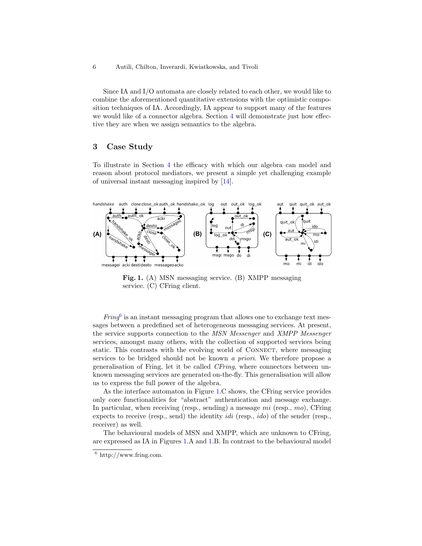Since IA and I/O automata are closely related to each other, we would like to combine the aforementioned quantitative extensions with the optimistic composition techniques of IA. Accordingly, IA appear to support many of the features we would like of a connector algebra. Section 4 will demonstrate just how effective they are when we assign semantics to the algebra.

#### 3 Case Study

To illustrate in Section 4 the efficacy with which our algebra can model and reason about protocol mediators, we present a simple yet challenging example of universal instant messaging inspired by [14].



Fig. 1. (A) MSN messaging service. (B) XMPP messaging service. (C) CFring client.

 $Fring<sup>6</sup>$  is an instant messaging program that allows one to exchange text messages between a predefined set of heterogeneous messaging services. At present, the service supports connection to the MSN Messenger and XMPP Messenger services, amongst many others, with the collection of supported services being static. This contrasts with the evolving world of CONNECT, where messaging services to be bridged should not be known a priori. We therefore propose a generalisation of Fring, let it be called CFring, where connectors between unknown messaging services are generated on-the-fly. This generalisation will allow us to express the full power of the algebra.

As the interface automaton in Figure 1.C shows, the CFring service provides only core functionalities for "abstract" authentication and message exchange. In particular, when receiving (resp., sending) a message  $mi$  (resp.,  $mo$ ), CFring expects to receive (resp., send) the identity idi (resp., ido) of the sender (resp., receiver) as well.

The behavioural models of MSN and XMPP, which are unknown to CFring, are expressed as IA in Figures 1.A and 1.B. In contrast to the behavioural model

 $6$  http://www.fring.com.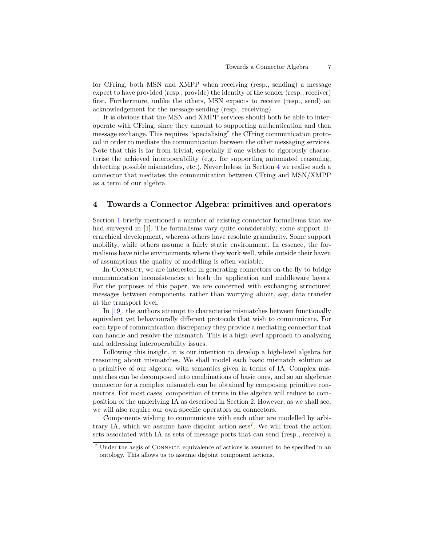for CFring, both MSN and XMPP when receiving (resp., sending) a message expect to have provided (resp., provide) the identity of the sender (resp., receiver) first. Furthermore, unlike the others, MSN expects to receive (resp., send) an acknowledgement for the message sending (resp., receiving).

It is obvious that the MSN and XMPP services should both be able to interoperate with CFring, since they amount to supporting authentication and then message exchange. This requires "specialising" the CFring communication protocol in order to mediate the communication between the other messaging services. Note that this is far from trivial, especially if one wishes to rigorously characterise the achieved interoperability (e.g., for supporting automated reasoning, detecting possible mismatches, etc.). Nevertheless, in Section 4 we realise such a connector that mediates the communication between CFring and MSN/XMPP as a term of our algebra.

### 4 Towards a Connector Algebra: primitives and operators

Section 1 briefly mentioned a number of existing connector formalisms that we had surveyed in [1]. The formalisms vary quite considerably; some support hierarchical development, whereas others have resolute granularity. Some support mobility, while others assume a fairly static environment. In essence, the formalisms have niche environments where they work well, while outside their haven of assumptions the quality of modelling is often variable.

In CONNECT, we are interested in generating connectors on-the-fly to bridge communication inconsistencies at both the application and middleware layers. For the purposes of this paper, we are concerned with exchanging structured messages between components, rather than worrying about, say, data transfer at the transport level.

In [19], the authors attempt to characterise mismatches between functionally equivalent yet behaviourally different protocols that wish to communicate. For each type of communication discrepancy they provide a mediating connector that can handle and resolve the mismatch. This is a high-level approach to analysing and addressing interoperability issues.

Following this insight, it is our intention to develop a high-level algebra for reasoning about mismatches. We shall model each basic mismatch solution as a primitive of our algebra, with semantics given in terms of IA. Complex mismatches can be decomposed into combinations of basic ones, and so an algebraic connector for a complex mismatch can be obtained by composing primitive connectors. For most cases, composition of terms in the algebra will reduce to composition of the underlying IA as described in Section 2. However, as we shall see, we will also require our own specific operators on connectors.

Components wishing to communicate with each other are modelled by arbitrary IA, which we assume have disjoint action sets<sup>7</sup>. We will treat the action sets associated with IA as sets of message ports that can send (resp., receive) a

 $7$  Under the aegis of CONNECT, equivalence of actions is assumed to be specified in an ontology. This allows us to assume disjoint component actions.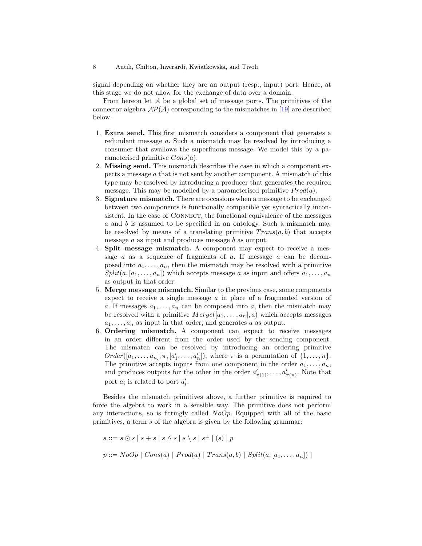signal depending on whether they are an output (resp., input) port. Hence, at this stage we do not allow for the exchange of data over a domain.

From hereon let  $A$  be a global set of message ports. The primitives of the connector algebra  $\mathcal{AP}(\mathcal{A})$  corresponding to the mismatches in [19] are described below.

- 1. Extra send. This first mismatch considers a component that generates a redundant message a. Such a mismatch may be resolved by introducing a consumer that swallows the superfluous message. We model this by a parameterised primitive  $Cons(a)$ .
- 2. Missing send. This mismatch describes the case in which a component expects a message a that is not sent by another component. A mismatch of this type may be resolved by introducing a producer that generates the required message. This may be modelled by a parameterised primitive  $Prod(a)$ .
- 3. Signature mismatch. There are occasions when a message to be exchanged between two components is functionally compatible yet syntactically inconsistent. In the case of CONNECT, the functional equivalence of the messages a and b is assumed to be specified in an ontology. Such a mismatch may be resolved by means of a translating primitive  $Trans(a, b)$  that accepts message a as input and produces message b as output.
- 4. Split message mismatch. A component may expect to receive a message  $a$  as a sequence of fragments of  $a$ . If message  $a$  can be decomposed into  $a_1, \ldots, a_n$ , then the mismatch may be resolved with a primitive  $Split(a, [a_1, \ldots, a_n])$  which accepts message a as input and offers  $a_1, \ldots, a_n$ as output in that order.
- 5. Merge message mismatch. Similar to the previous case, some components expect to receive a single message a in place of a fragmented version of a. If messages  $a_1, \ldots, a_n$  can be composed into a, then the mismatch may be resolved with a primitive  $Merge([a_1, \ldots, a_n], a)$  which accepts messages  $a_1, \ldots, a_n$  as input in that order, and generates a as output.
- 6. Ordering mismatch. A component can expect to receive messages in an order different from the order used by the sending component. The mismatch can be resolved by introducing an ordering primitive  $Order([a_1, \ldots, a_n], \pi, [a'_1, \ldots, a'_n]),$  where  $\pi$  is a permutation of  $\{1, \ldots, n\}.$ The primitive accepts inputs from one component in the order  $a_1, \ldots, a_n$ , and produces outputs for the other in the order  $a'_{\pi(1)}, \ldots, a'_{\pi(n)}$ . Note that port  $a_i$  is related to port  $a'_i$ .

Besides the mismatch primitives above, a further primitive is required to force the algebra to work in a sensible way. The primitive does not perform any interactions, so is fittingly called  $NoOp$ . Equipped with all of the basic primitives, a term s of the algebra is given by the following grammar:

 $s ::= s \odot s \mid s + s \mid s \wedge s \mid s \setminus s \mid s^{\perp} \mid (s) \mid p$ 

 $p ::= NoOp | Cons(a) | Prod(a) | Trans(a, b) | Split(a, [a_1, \ldots, a_n]) |$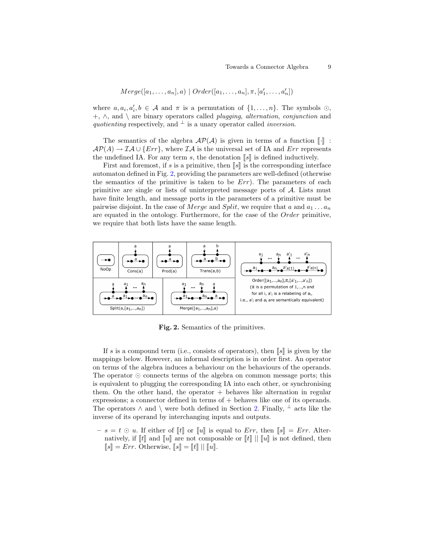$$
Merge([a_1,\ldots,a_n],a)\mid Order([a_1,\ldots,a_n],\pi,[a'_1,\ldots,a'_n])
$$

where  $a, a_i, a'_i, b \in \mathcal{A}$  and  $\pi$  is a permutation of  $\{1, \ldots, n\}$ . The symbols  $\odot$ , +, ∧, and \ are binary operators called plugging, alternation, conjunction and quotienting respectively, and  $\perp$  is a unary operator called *inversion*.

The semantics of the algebra  $\mathcal{AP}(\mathcal{A})$  is given in terms of a function  $\llbracket \cdot \rrbracket$ :  $\mathcal{AP}(A) \to \mathcal{IA} \cup \{Err\}$ , where  $\mathcal{IA}$  is the universal set of IA and  $Err$  represents the undefined IA. For any term s, the denotation  $\llbracket s \rrbracket$  is defined inductively.

First and foremost, if s is a primitive, then  $\llbracket s \rrbracket$  is the corresponding interface automaton defined in Fig. 2, providing the parameters are well-defined (otherwise the semantics of the primitive is taken to be  $Err$ ). The parameters of each primitive are single or lists of uninterpreted message ports of A. Lists must have finite length, and message ports in the parameters of a primitive must be pairwise disjoint. In the case of *Merge* and *Split*, we require that a and  $a_1 \ldots a_n$ are equated in the ontology. Furthermore, for the case of the Order primitive, we require that both lists have the same length.



Fig. 2. Semantics of the primitives.

If s is a compound term (i.e., consists of operators), then  $\llbracket s \rrbracket$  is given by the mappings below. However, an informal description is in order first. An operator on terms of the algebra induces a behaviour on the behaviours of the operands. The operator  $\odot$  connects terms of the algebra on common message ports; this is equivalent to plugging the corresponding IA into each other, or synchronising them. On the other hand, the operator  $+$  behaves like alternation in regular expressions; a connector defined in terms of + behaves like one of its operands. The operators  $\wedge$  and  $\setminus$  were both defined in Section 2. Finally,  $\perp$  acts like the inverse of its operand by interchanging inputs and outputs.

 $-s = t \odot u$ . If either of  $\llbracket t \rrbracket$  or  $\llbracket u \rrbracket$  is equal to Err, then  $\llbracket s \rrbracket = Err$ . Alternatively, if  $\llbracket t \rrbracket$  and  $\llbracket u \rrbracket$  are not composable or  $\llbracket t \rrbracket \parallel \llbracket u \rrbracket$  is not defined, then  $[s] = Err$ . Otherwise,  $[s] = [t] || [u].$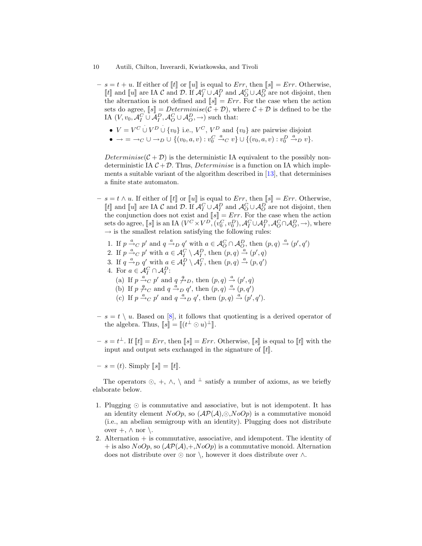- $-s = t + u$ . If either of  $\llbracket t \rrbracket$  or  $\llbracket u \rrbracket$  is equal to Err, then  $\llbracket s \rrbracket = Err$ . Otherwise, [t] and [u] are IA C and D. If  $\mathcal{A}_I^C \cup \mathcal{A}_I^D$  and  $\mathcal{A}_\omega^C \cup \mathcal{A}_O^D$  are not disjoint, then the alternation is not defined and [u] – Erm For the gase when the action the alternation is not defined and  $[s] = Err$ . For the case when the action sets do agree,  $[s] = Determine(\mathcal{C} + \mathcal{D})$ , where  $\mathcal{C} + \mathcal{D}$  is defined to be the IA  $(V, v_0, \mathcal{A}_I^C \cup \mathcal{A}_I^D, \mathcal{A}_O^C \cup \mathcal{A}_O^D, \rightarrow)$  such that:
	- $V = V^C \cup V^D \cup \{v_0\}$  i.e.,  $V^C$ ,  $V^D$  and  $\{v_0\}$  are pairwise disjoint
	- → = → c ∪ → p ∪ { $(v_0, a, v) : v_0^C \stackrel{a}{\to} c v$ } ∪ { $(v_0, a, v) : v_0^D \stackrel{a}{\to} p v$  }.

Determinise( $\mathcal{C} + \mathcal{D}$ ) is the deterministic IA equivalent to the possibly nondeterministic IA  $C + \mathcal{D}$ . Thus, *Determinise* is a function on IA which implements a suitable variant of the algorithm described in [13], that determinises a finite state automaton.

- s = t ∧ u. If either of  $\llbracket t \rrbracket$  or  $\llbracket u \rrbracket$  is equal to Err, then  $\llbracket s \rrbracket = Err$ . Otherwise, [t] and [u] are IA C and D. If  $\mathcal{A}_I^C \cup \mathcal{A}_I^D$  and  $\mathcal{A}_G^C \cup \mathcal{A}_O^D$  are not disjoint, then the conjunction does not oviet and [a] –  $F_{xx}$ . For the case when the action the conjunction does not exist and  $[[s]] = Err$ . For the case when the action<br>sets do agree  $[[s]]$  is an IA  $(VC \times VP \ (s.C \ s.D.) \ (C \cup D \ (s.C \ A D \ A C \cap A D \ A C \cap A D))$ sets do agree, [[s] is an IA  $(V^C \times V^D, (v_0^C, v_0^D), A_f^C \cup A_f^D, A_G^C \cap A_O^D, \rightarrow)$ , where  $\rightarrow$  is the smallest relation satisfying the following rules:
	- 1. If  $p \xrightarrow{a}^{\alpha} p'$  and  $q \xrightarrow{a}^{\alpha} p q'$  with  $a \in \mathcal{A}_O^C \cap \mathcal{A}_O^D$ , then  $(p, q) \xrightarrow{a} (p', q')$ 2. If  $p \stackrel{a}{\rightarrow}_C p'$  with  $a \in \mathcal{A}_I^C \setminus \mathcal{A}_I^D$ , then  $(p, q) \stackrel{a}{\rightarrow} (p', q)$ 3. If  $q \stackrel{a}{\rightarrow}_D q'$  with  $a \in \mathcal{A}_I^D \setminus \mathcal{A}_I^C$ , then  $(p, q) \stackrel{a}{\rightarrow} (p, q')$ 4. For  $a \in \mathcal{A}_I^C \cap \mathcal{A}_I^D$ : (a) If  $p \stackrel{a}{\rightarrow}_C p'$  and  $q \not\stackrel{a}{\rightarrow}_D$ , then  $(p, q) \stackrel{a}{\rightarrow} (p', q)$ (b) If  $p \nightharpoonup_{C}^q$  and  $q \stackrel{a}{\rightarrow}_D q'$ , then  $(p, q) \stackrel{a}{\rightarrow} (p, q')$ (c) If  $p \stackrel{a}{\rightarrow}_C p'$  and  $q \stackrel{a}{\rightarrow}_D q'$ , then  $(p, q) \stackrel{a}{\rightarrow} (p', q')$ .
- $-s = t \ u$ . Based on [8], it follows that quotienting is a derived operator of the algebra. Thus,  $[s] = [(t^{\perp} \odot u)^{\perp}].$
- $s = t^{\perp}$ . If  $[[t]] = Err$ , then  $[[s]] = Err$ . Otherwise,  $[[s]]$  is equal to  $[[t]]$  with the input and output sets exchanged in the signature of  $\llbracket t \rrbracket$ .

 $-s = (t)$ . Simply  $\llbracket s \rrbracket = \llbracket t \rrbracket$ .

The operators  $\odot$ ,  $+$ ,  $\wedge$ ,  $\wedge$  and  $\perp$  satisfy a number of axioms, as we briefly elaborate below.

- 1. Plugging  $\odot$  is commutative and associative, but is not idempotent. It has an identity element  $NoOp$ , so  $\mathcal{AP}(\mathcal{A}), \odot, NoOp$  is a commutative monoid (i.e., an abelian semigroup with an identity). Plugging does not distribute over  $+$ ,  $\wedge$  nor  $\setminus$ .
- 2. Alternation + is commutative, associative, and idempotent. The identity of  $+$  is also  $NoOp$ , so  $(AP(A), +, NoOp)$  is a commutative monoid. Alternation does not distribute over  $\odot$  nor  $\backslash$ , however it does distribute over  $\land$ .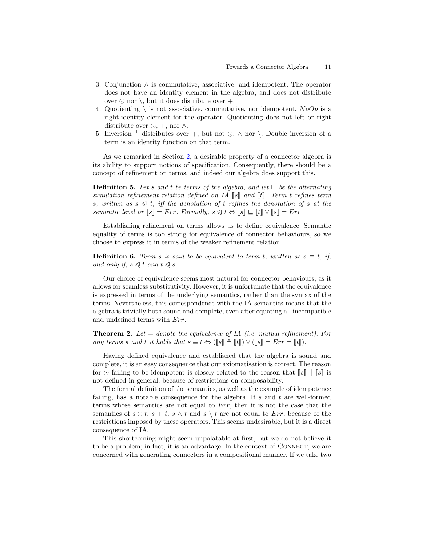- 3. Conjunction ∧ is commutative, associative, and idempotent. The operator does not have an identity element in the algebra, and does not distribute over  $\odot$  nor  $\backslash$ , but it does distribute over  $+$ .
- 4. Quotienting  $\setminus$  is not associative, commutative, nor idempotent. NoOp is a right-identity element for the operator. Quotienting does not left or right distribute over  $\odot$ , +, nor  $\wedge$ .
- 5. Inversion  $\perp$  distributes over +, but not ⊙, ∧ nor \. Double inversion of a term is an identity function on that term.

As we remarked in Section 2, a desirable property of a connector algebra is its ability to support notions of specification. Consequently, there should be a concept of refinement on terms, and indeed our algebra does support this.

**Definition 5.** Let s and t be terms of the algebra, and let  $\Box$  be the alternating simulation refinement relation defined on IA  $\llbracket s \rrbracket$  and  $\llbracket t \rrbracket$ . Term t refines term s, written as  $s \leq t$ , iff the denotation of t refines the denotation of s at the semantic level or  $[s] = Err$ . Formally,  $s \triangleleft t \Leftrightarrow [s] \sqsubseteq [t] \vee [s] = Err$ .

Establishing refinement on terms allows us to define equivalence. Semantic equality of terms is too strong for equivalence of connector behaviours, so we choose to express it in terms of the weaker refinement relation.

**Definition 6.** Term s is said to be equivalent to term t, written as  $s \equiv t$ , if, and only if,  $s \leq t$  and  $t \leq s$ .

Our choice of equivalence seems most natural for connector behaviours, as it allows for seamless substitutivity. However, it is unfortunate that the equivalence is expressed in terms of the underlying semantics, rather than the syntax of the terms. Nevertheless, this correspondence with the IA semantics means that the algebra is trivially both sound and complete, even after equating all incompatible and undefined terms with Err.

**Theorem 2.** Let  $\triangleq$  denote the equivalence of IA (i.e. mutual refinement). For any terms s and t it holds that  $s \equiv t \Leftrightarrow (\llbracket s \rrbracket \doteq \llbracket t \rrbracket) \vee (\llbracket s \rrbracket = Err = \llbracket t \rrbracket).$ 

Having defined equivalence and established that the algebra is sound and complete, it is an easy consequence that our axiomatisation is correct. The reason for  $\odot$  failing to be idempotent is closely related to the reason that  $\llbracket s \rrbracket$  ||  $\llbracket s \rrbracket$  is not defined in general, because of restrictions on composability.

The formal definition of the semantics, as well as the example of idempotence failing, has a notable consequence for the algebra. If  $s$  and  $t$  are well-formed terms whose semantics are not equal to Err, then it is not the case that the semantics of  $s \odot t$ ,  $s + t$ ,  $s \wedge t$  and  $s \setminus t$  are not equal to Err, because of the restrictions imposed by these operators. This seems undesirable, but it is a direct consequence of IA.

This shortcoming might seem unpalatable at first, but we do not believe it to be a problem; in fact, it is an advantage. In the context of CONNECT, we are concerned with generating connectors in a compositional manner. If we take two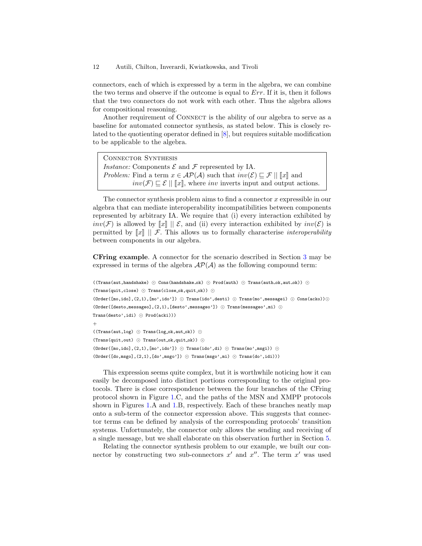connectors, each of which is expressed by a term in the algebra, we can combine the two terms and observe if the outcome is equal to  $Err$ . If it is, then it follows that the two connectors do not work with each other. Thus the algebra allows for compositional reasoning.

Another requirement of CONNECT is the ability of our algebra to serve as a baseline for automated connector synthesis, as stated below. This is closely related to the quotienting operator defined in [8], but requires suitable modification to be applicable to the algebra.

Connector Synthesis *Instance:* Components  $\mathcal E$  and  $\mathcal F$  represented by IA. *Problem:* Find a term  $x \in \mathcal{AP}(\mathcal{A})$  such that  $inv(\mathcal{E}) \sqsubset \mathcal{F} \parallel \llbracket x \rrbracket$  and  $inv(\mathcal{F}) \subseteq \mathcal{E} \parallel ||x||$ , where inv inverts input and output actions.

The connector synthesis problem aims to find a connector x expressible in our algebra that can mediate interoperability incompatibilities between components represented by arbitrary IA. We require that (i) every interaction exhibited by inv(F) is allowed by  $\llbracket x \rrbracket \parallel \mathcal{E}$ , and (ii) every interaction exhibited by  $inv(\mathcal{E})$  is permitted by  $\Vert x \Vert \Vert$  F. This allows us to formally characterise *interoperability* between components in our algebra.

CFring example. A connector for the scenario described in Section 3 may be expressed in terms of the algebra  $\mathcal{AP}(\mathcal{A})$  as the following compound term:

```
((Trans (aut, handshake) \odot Cons(handshake \odot Frod (auth) \odot Trans(auth \odot akt)) \odot(Trans(quit, close) \odot Trans(close_ok,quit_ok)) \odot(Order([mo, ido], (2,1), [mo', ido']) \odot Trans(ido',desti) \odot Trans(mo',messagei) \odot Cons(acko)) \odot(Order([desto,messageo],(2,1),[desto',messageo']) \odot Trans(messageo',mi) \odotTrans(desto', idi) \odot Prod(acki)))+((\text{Trans}(aut, log) \cap \text{Trans}(log_ok, aut_ok)) \cap(Trans(quit,out) \odot Trans(out\_ok,quit\_ok)) \odot(Order([mo,ido], (2,1), [mo',ido']) \odot Trans(ido',di) \odot Trans(mo',msgi)) \odot(Order([do, msgo], (2, 1), [do', msgo']) \odot Trans(msgo', mi) \odot Trans-do', idi)))
```
This expression seems quite complex, but it is worthwhile noticing how it can easily be decomposed into distinct portions corresponding to the original protocols. There is close correspondence between the four branches of the CFring protocol shown in Figure 1.C, and the paths of the MSN and XMPP protocols shown in Figures 1.A and 1.B, respectively. Each of these branches neatly map onto a sub-term of the connector expression above. This suggests that connector terms can be defined by analysis of the corresponding protocols' transition systems. Unfortunately, the connector only allows the sending and receiving of a single message, but we shall elaborate on this observation further in Section 5.

Relating the connector synthesis problem to our example, we built our connector by constructing two sub-connectors  $x'$  and  $x''$ . The term  $x'$  was used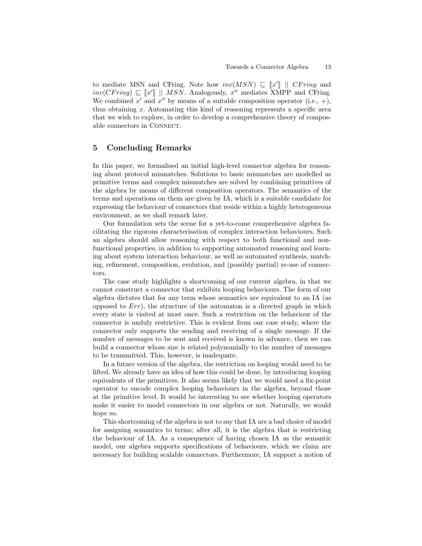to mediate MSN and CFring. Note how  $inv(MSN) \subseteq [x'] \parallel C_F$  and  $C_F$  and  $C_F$  and  $C_F$  and  $C_F$  ing  $\Box$  $inv(CFring) \sqsubseteq [x'] \parallel MSN$ . Analogously,  $x''$  mediates XMPP and CFring.<br>We combined  $x'$  and  $x''$  by means of a suitable composition operator (i.e., i.) We combined x' and x'' by means of a suitable composition operator (i.e.,  $+)$ , thus obtaining x. Automating this kind of reasoning represents a specific area that we wish to explore, in order to develop a comprehensive theory of composable connectors in CONNECT.

### 5 Concluding Remarks

In this paper, we formalised an initial high-level connector algebra for reasoning about protocol mismatches. Solutions to basic mismatches are modelled as primitive terms and complex mismatches are solved by combining primitives of the algebra by means of different composition operators. The semantics of the terms and operations on them are given by IA, which is a suitable candidate for expressing the behaviour of connectors that reside within a highly heterogeneous environment, as we shall remark later.

Our formulation sets the scene for a yet-to-come comprehensive algebra facilitating the rigorous characterisation of complex interaction behaviours. Such an algebra should allow reasoning with respect to both functional and nonfunctional properties, in addition to supporting automated reasoning and learning about system interaction behaviour, as well as automated synthesis, matching, refinement, composition, evolution, and (possibly partial) re-use of connectors.

The case study highlights a shortcoming of our current algebra, in that we cannot construct a connector that exhibits looping behaviours. The form of our algebra dictates that for any term whose semantics are equivalent to an IA (as opposed to  $Err$ ), the structure of the automaton is a directed graph in which every state is visited at most once. Such a restriction on the behaviour of the connector is unduly restrictive. This is evident from our case study, where the connector only supports the sending and receiving of a single message. If the number of messages to be sent and received is known in advance, then we can build a connector whose size is related polynomially to the number of messages to be transmitted. This, however, is inadequate.

In a future version of the algebra, the restriction on looping would need to be lifted. We already have an idea of how this could be done, by introducing looping equivalents of the primitives. It also seems likely that we would need a fix-point operator to encode complex looping behaviours in the algebra, beyond those at the primitive level. It would be interesting to see whether looping operators make it easier to model connectors in our algebra or not. Naturally, we would hope so.

This shortcoming of the algebra is not to say that IA are a bad choice of model for assigning semantics to terms; after all, it is the algebra that is restricting the behaviour of IA. As a consequence of having chosen IA as the semantic model, our algebra supports specifications of behaviours, which we claim are necessary for building scalable connectors. Furthermore, IA support a notion of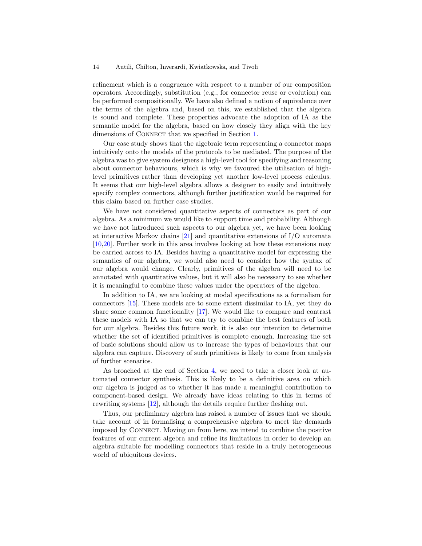refinement which is a congruence with respect to a number of our composition operators. Accordingly, substitution (e.g., for connector reuse or evolution) can be performed compositionally. We have also defined a notion of equivalence over the terms of the algebra and, based on this, we established that the algebra is sound and complete. These properties advocate the adoption of IA as the semantic model for the algebra, based on how closely they align with the key dimensions of CONNECT that we specified in Section 1.

Our case study shows that the algebraic term representing a connector maps intuitively onto the models of the protocols to be mediated. The purpose of the algebra was to give system designers a high-level tool for specifying and reasoning about connector behaviours, which is why we favoured the utilisation of highlevel primitives rather than developing yet another low-level process calculus. It seems that our high-level algebra allows a designer to easily and intuitively specify complex connectors, although further justification would be required for this claim based on further case studies.

We have not considered quantitative aspects of connectors as part of our algebra. As a minimum we would like to support time and probability. Although we have not introduced such aspects to our algebra yet, we have been looking at interactive Markov chains [21] and quantitative extensions of I/O automata [10,20]. Further work in this area involves looking at how these extensions may be carried across to IA. Besides having a quantitative model for expressing the semantics of our algebra, we would also need to consider how the syntax of our algebra would change. Clearly, primitives of the algebra will need to be annotated with quantitative values, but it will also be necessary to see whether it is meaningful to combine these values under the operators of the algebra.

In addition to IA, we are looking at modal specifications as a formalism for connectors [15]. These models are to some extent dissimilar to IA, yet they do share some common functionality  $[17]$ . We would like to compare and contrast these models with IA so that we can try to combine the best features of both for our algebra. Besides this future work, it is also our intention to determine whether the set of identified primitives is complete enough. Increasing the set of basic solutions should allow us to increase the types of behaviours that our algebra can capture. Discovery of such primitives is likely to come from analysis of further scenarios.

As broached at the end of Section 4, we need to take a closer look at automated connector synthesis. This is likely to be a definitive area on which our algebra is judged as to whether it has made a meaningful contribution to component-based design. We already have ideas relating to this in terms of rewriting systems [12], although the details require further fleshing out.

Thus, our preliminary algebra has raised a number of issues that we should take account of in formalising a comprehensive algebra to meet the demands imposed by Connect. Moving on from here, we intend to combine the positive features of our current algebra and refine its limitations in order to develop an algebra suitable for modelling connectors that reside in a truly heterogeneous world of ubiquitous devices.